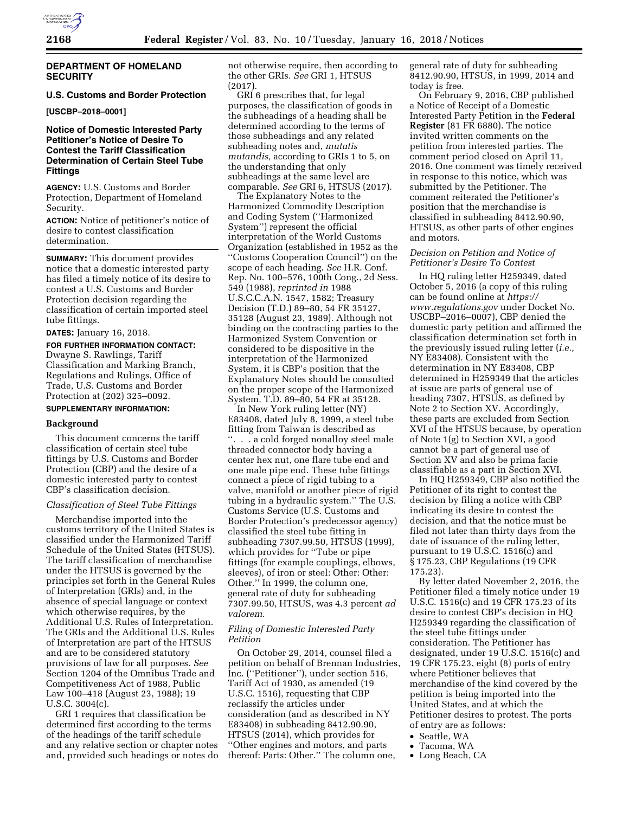

#### **DEPARTMENT OF HOMELAND SECURITY**

## **U.S. Customs and Border Protection**

**[USCBP–2018–0001]** 

## **Notice of Domestic Interested Party Petitioner's Notice of Desire To Contest the Tariff Classification Determination of Certain Steel Tube Fittings**

**AGENCY:** U.S. Customs and Border Protection, Department of Homeland Security.

**ACTION:** Notice of petitioner's notice of desire to contest classification determination.

**SUMMARY:** This document provides notice that a domestic interested party has filed a timely notice of its desire to contest a U.S. Customs and Border Protection decision regarding the classification of certain imported steel tube fittings.

**DATES:** January 16, 2018.

**FOR FURTHER INFORMATION CONTACT:**  Dwayne S. Rawlings, Tariff Classification and Marking Branch, Regulations and Rulings, Office of Trade, U.S. Customs and Border Protection at (202) 325–0092.

## **SUPPLEMENTARY INFORMATION:**

#### **Background**

This document concerns the tariff classification of certain steel tube fittings by U.S. Customs and Border Protection (CBP) and the desire of a domestic interested party to contest CBP's classification decision.

#### *Classification of Steel Tube Fittings*

Merchandise imported into the customs territory of the United States is classified under the Harmonized Tariff Schedule of the United States (HTSUS). The tariff classification of merchandise under the HTSUS is governed by the principles set forth in the General Rules of Interpretation (GRIs) and, in the absence of special language or context which otherwise requires, by the Additional U.S. Rules of Interpretation. The GRIs and the Additional U.S. Rules of Interpretation are part of the HTSUS and are to be considered statutory provisions of law for all purposes. *See*  Section 1204 of the Omnibus Trade and Competitiveness Act of 1988, Public Law 100–418 (August 23, 1988); 19 U.S.C. 3004(c).

GRI 1 requires that classification be determined first according to the terms of the headings of the tariff schedule and any relative section or chapter notes and, provided such headings or notes do not otherwise require, then according to the other GRIs. *See* GRI 1, HTSUS (2017).

GRI 6 prescribes that, for legal purposes, the classification of goods in the subheadings of a heading shall be determined according to the terms of those subheadings and any related subheading notes and, *mutatis mutandis,* according to GRIs 1 to 5, on the understanding that only subheadings at the same level are comparable. *See* GRI 6, HTSUS (2017).

The Explanatory Notes to the Harmonized Commodity Description and Coding System (''Harmonized System'') represent the official interpretation of the World Customs Organization (established in 1952 as the ''Customs Cooperation Council'') on the scope of each heading. *See* H.R. Conf. Rep. No. 100–576, 100th Cong., 2d Sess. 549 (1988), *reprinted in* 1988 U.S.C.C.A.N. 1547, 1582; Treasury Decision (T.D.) 89–80, 54 FR 35127, 35128 (August 23, 1989). Although not binding on the contracting parties to the Harmonized System Convention or considered to be dispositive in the interpretation of the Harmonized System, it is CBP's position that the Explanatory Notes should be consulted on the proper scope of the Harmonized System. T.D. 89–80, 54 FR at 35128.

In New York ruling letter (NY) E83408, dated July 8, 1999, a steel tube fitting from Taiwan is described as ''. . . a cold forged nonalloy steel male threaded connector body having a center hex nut, one flare tube end and one male pipe end. These tube fittings connect a piece of rigid tubing to a valve, manifold or another piece of rigid tubing in a hydraulic system.'' The U.S. Customs Service (U.S. Customs and Border Protection's predecessor agency) classified the steel tube fitting in subheading 7307.99.50, HTSUS (1999), which provides for ''Tube or pipe fittings (for example couplings, elbows, sleeves), of iron or steel: Other: Other: Other.'' In 1999, the column one, general rate of duty for subheading 7307.99.50, HTSUS, was 4.3 percent *ad valorem.* 

## *Filing of Domestic Interested Party Petition*

On October 29, 2014, counsel filed a petition on behalf of Brennan Industries, Inc. (''Petitioner''), under section 516, Tariff Act of 1930, as amended (19 U.S.C. 1516), requesting that CBP reclassify the articles under consideration (and as described in NY E83408) in subheading 8412.90.90, HTSUS (2014), which provides for ''Other engines and motors, and parts thereof: Parts: Other.'' The column one,

general rate of duty for subheading 8412.90.90, HTSUS, in 1999, 2014 and today is free.

On February 9, 2016, CBP published a Notice of Receipt of a Domestic Interested Party Petition in the **Federal Register** (81 FR 6880). The notice invited written comments on the petition from interested parties. The comment period closed on April 11, 2016. One comment was timely received in response to this notice, which was submitted by the Petitioner. The comment reiterated the Petitioner's position that the merchandise is classified in subheading 8412.90.90, HTSUS, as other parts of other engines and motors.

## *Decision on Petition and Notice of Petitioner's Desire To Contest*

In HQ ruling letter H259349, dated October 5, 2016 (a copy of this ruling can be found online at *[https://](https://www.regulations.gov) [www.regulations.gov](https://www.regulations.gov)* under Docket No. USCBP–2016–0007), CBP denied the domestic party petition and affirmed the classification determination set forth in the previously issued ruling letter (*i.e.,*  NY E83408). Consistent with the determination in NY E83408, CBP determined in H259349 that the articles at issue are parts of general use of heading 7307, HTSUS, as defined by Note 2 to Section XV. Accordingly, these parts are excluded from Section XVI of the HTSUS because, by operation of Note 1(g) to Section XVI, a good cannot be a part of general use of Section XV and also be prima facie classifiable as a part in Section XVI.

In HQ H259349, CBP also notified the Petitioner of its right to contest the decision by filing a notice with CBP indicating its desire to contest the decision, and that the notice must be filed not later than thirty days from the date of issuance of the ruling letter, pursuant to 19 U.S.C. 1516(c) and § 175.23, CBP Regulations (19 CFR 175.23).

By letter dated November 2, 2016, the Petitioner filed a timely notice under 19 U.S.C. 1516(c) and 19 CFR 175.23 of its desire to contest CBP's decision in HQ H259349 regarding the classification of the steel tube fittings under consideration. The Petitioner has designated, under 19 U.S.C. 1516(c) and 19 CFR 175.23, eight (8) ports of entry where Petitioner believes that merchandise of the kind covered by the petition is being imported into the United States, and at which the Petitioner desires to protest. The ports of entry are as follows:

- Seattle, WA
- Tacoma, WA
- Long Beach, CA